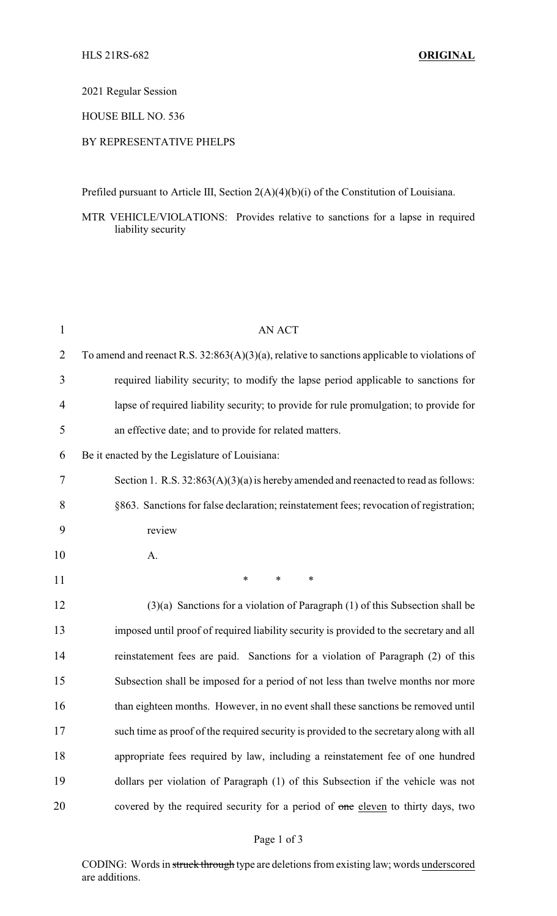2021 Regular Session

HOUSE BILL NO. 536

## BY REPRESENTATIVE PHELPS

Prefiled pursuant to Article III, Section 2(A)(4)(b)(i) of the Constitution of Louisiana.

MTR VEHICLE/VIOLATIONS: Provides relative to sanctions for a lapse in required liability security

| $\mathbf{1}$   | <b>AN ACT</b>                                                                                   |
|----------------|-------------------------------------------------------------------------------------------------|
| $\overline{2}$ | To amend and reenact R.S. $32:863(A)(3)(a)$ , relative to sanctions applicable to violations of |
| 3              | required liability security; to modify the lapse period applicable to sanctions for             |
| 4              | lapse of required liability security; to provide for rule promulgation; to provide for          |
| 5              | an effective date; and to provide for related matters.                                          |
| 6              | Be it enacted by the Legislature of Louisiana:                                                  |
| 7              | Section 1. R.S. $32:863(A)(3)(a)$ is hereby amended and reenacted to read as follows:           |
| 8              | §863. Sanctions for false declaration; reinstatement fees; revocation of registration;          |
| 9              | review                                                                                          |
| 10             | A.                                                                                              |
| 11             | $\ast$<br>∗<br>∗                                                                                |
| 12             | $(3)(a)$ Sanctions for a violation of Paragraph $(1)$ of this Subsection shall be               |
| 13             | imposed until proof of required liability security is provided to the secretary and all         |
| 14             | reinstatement fees are paid. Sanctions for a violation of Paragraph (2) of this                 |
| 15             | Subsection shall be imposed for a period of not less than twelve months nor more                |
| 16             | than eighteen months. However, in no event shall these sanctions be removed until               |
| 17             | such time as proof of the required security is provided to the secretary along with all         |
| 18             | appropriate fees required by law, including a reinstatement fee of one hundred                  |
| 19             | dollars per violation of Paragraph (1) of this Subsection if the vehicle was not                |
| 20             | covered by the required security for a period of one eleven to thirty days, two                 |

## Page 1 of 3

CODING: Words in struck through type are deletions from existing law; words underscored are additions.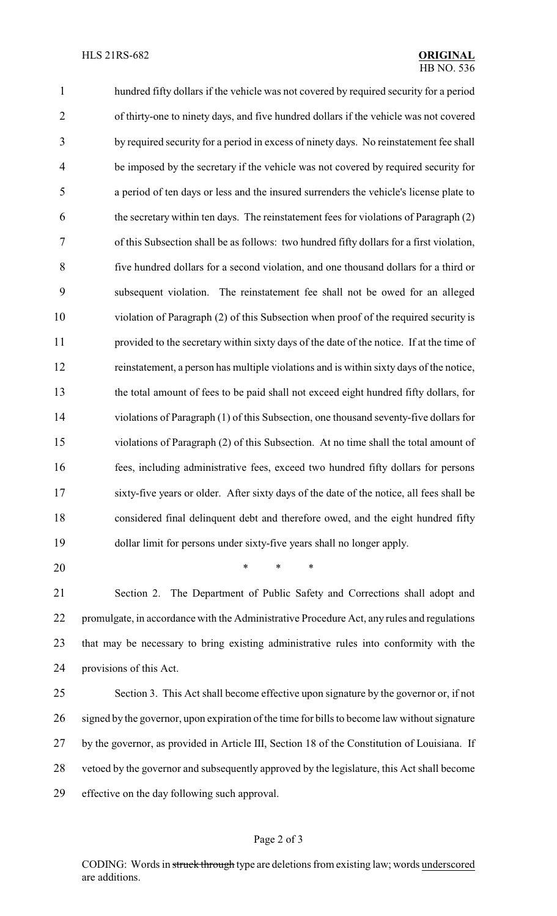hundred fifty dollars if the vehicle was not covered by required security for a period of thirty-one to ninety days, and five hundred dollars if the vehicle was not covered by required security for a period in excess of ninety days. No reinstatement fee shall be imposed by the secretary if the vehicle was not covered by required security for a period of ten days or less and the insured surrenders the vehicle's license plate to the secretary within ten days. The reinstatement fees for violations of Paragraph (2) of this Subsection shall be as follows: two hundred fifty dollars for a first violation, five hundred dollars for a second violation, and one thousand dollars for a third or subsequent violation. The reinstatement fee shall not be owed for an alleged violation of Paragraph (2) of this Subsection when proof of the required security is provided to the secretary within sixty days of the date of the notice. If at the time of reinstatement, a person has multiple violations and is within sixty days of the notice, the total amount of fees to be paid shall not exceed eight hundred fifty dollars, for violations of Paragraph (1) of this Subsection, one thousand seventy-five dollars for violations of Paragraph (2) of this Subsection. At no time shall the total amount of fees, including administrative fees, exceed two hundred fifty dollars for persons sixty-five years or older. After sixty days of the date of the notice, all fees shall be considered final delinquent debt and therefore owed, and the eight hundred fifty dollar limit for persons under sixty-five years shall no longer apply.

\* \* \*

 Section 2. The Department of Public Safety and Corrections shall adopt and promulgate, in accordance with the Administrative Procedure Act, any rules and regulations that may be necessary to bring existing administrative rules into conformity with the provisions of this Act.

 Section 3. This Act shall become effective upon signature by the governor or, if not signed by the governor, upon expiration of the time for bills to become law without signature by the governor, as provided in Article III, Section 18 of the Constitution of Louisiana. If vetoed by the governor and subsequently approved by the legislature, this Act shall become effective on the day following such approval.

## Page 2 of 3

CODING: Words in struck through type are deletions from existing law; words underscored are additions.